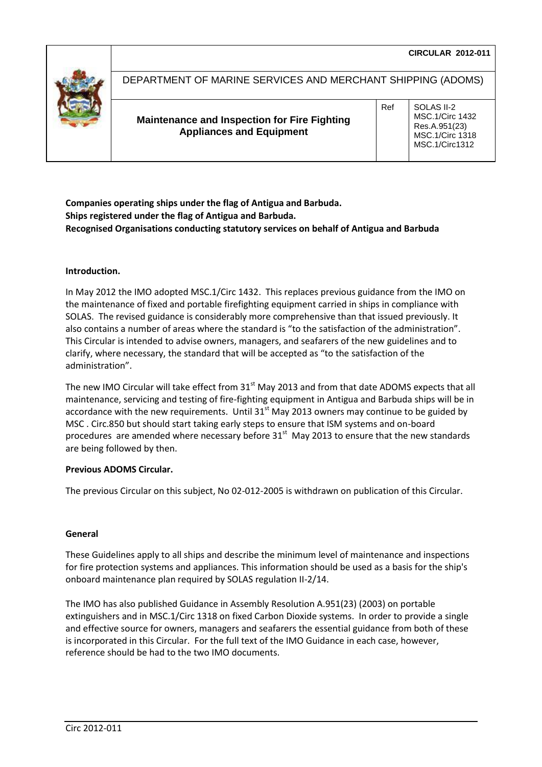

# DEPARTMENT OF MARINE SERVICES AND MERCHANT SHIPPING (ADOMS)

**Maintenance and Inspection for Fire Fighting Appliances and Equipment** 

Ref | SOLAS II-2 MSC.1/Circ 1432 Res.A.951(23) MSC.1/Circ 1318 MSC.1/Circ1312

**Companies operating ships under the flag of Antigua and Barbuda. Ships registered under the flag of Antigua and Barbuda. Recognised Organisations conducting statutory services on behalf of Antigua and Barbuda**

# **Introduction.**

In May 2012 the IMO adopted MSC.1/Circ 1432. This replaces previous guidance from the IMO on the maintenance of fixed and portable firefighting equipment carried in ships in compliance with SOLAS. The revised guidance is considerably more comprehensive than that issued previously. It also contains a number of areas where the standard is "to the satisfaction of the administration". This Circular is intended to advise owners, managers, and seafarers of the new guidelines and to clarify, where necessary, the standard that will be accepted as "to the satisfaction of the administration".

The new IMO Circular will take effect from  $31<sup>st</sup>$  May 2013 and from that date ADOMS expects that all maintenance, servicing and testing of fire-fighting equipment in Antigua and Barbuda ships will be in accordance with the new requirements. Until  $31<sup>st</sup>$  May 2013 owners may continue to be guided by MSC . Circ.850 but should start taking early steps to ensure that ISM systems and on-board procedures are amended where necessary before  $31<sup>st</sup>$  May 2013 to ensure that the new standards are being followed by then.

#### **Previous ADOMS Circular.**

The previous Circular on this subject, No 02-012-2005 is withdrawn on publication of this Circular.

#### **General**

These Guidelines apply to all ships and describe the minimum level of maintenance and inspections for fire protection systems and appliances. This information should be used as a basis for the ship's onboard maintenance plan required by SOLAS regulation II-2/14.

The IMO has also published Guidance in Assembly Resolution A.951(23) (2003) on portable extinguishers and in MSC.1/Circ 1318 on fixed Carbon Dioxide systems. In order to provide a single and effective source for owners, managers and seafarers the essential guidance from both of these is incorporated in this Circular. For the full text of the IMO Guidance in each case, however, reference should be had to the two IMO documents.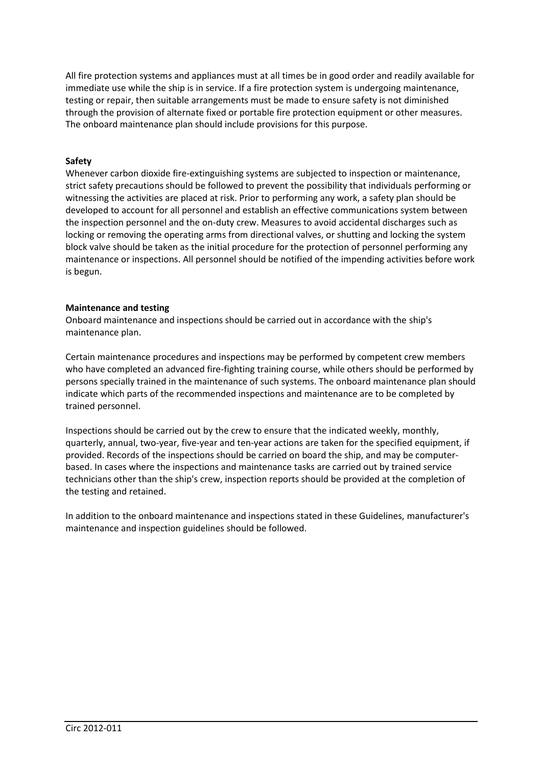All fire protection systems and appliances must at all times be in good order and readily available for immediate use while the ship is in service. If a fire protection system is undergoing maintenance, testing or repair, then suitable arrangements must be made to ensure safety is not diminished through the provision of alternate fixed or portable fire protection equipment or other measures. The onboard maintenance plan should include provisions for this purpose.

# **Safety**

Whenever carbon dioxide fire-extinguishing systems are subjected to inspection or maintenance, strict safety precautions should be followed to prevent the possibility that individuals performing or witnessing the activities are placed at risk. Prior to performing any work, a safety plan should be developed to account for all personnel and establish an effective communications system between the inspection personnel and the on-duty crew. Measures to avoid accidental discharges such as locking or removing the operating arms from directional valves, or shutting and locking the system block valve should be taken as the initial procedure for the protection of personnel performing any maintenance or inspections. All personnel should be notified of the impending activities before work is begun.

# **Maintenance and testing**

Onboard maintenance and inspections should be carried out in accordance with the ship's maintenance plan.

Certain maintenance procedures and inspections may be performed by competent crew members who have completed an advanced fire-fighting training course, while others should be performed by persons specially trained in the maintenance of such systems. The onboard maintenance plan should indicate which parts of the recommended inspections and maintenance are to be completed by trained personnel.

Inspections should be carried out by the crew to ensure that the indicated weekly, monthly, quarterly, annual, two-year, five-year and ten-year actions are taken for the specified equipment, if provided. Records of the inspections should be carried on board the ship, and may be computerbased. In cases where the inspections and maintenance tasks are carried out by trained service technicians other than the ship's crew, inspection reports should be provided at the completion of the testing and retained.

In addition to the onboard maintenance and inspections stated in these Guidelines, manufacturer's maintenance and inspection guidelines should be followed.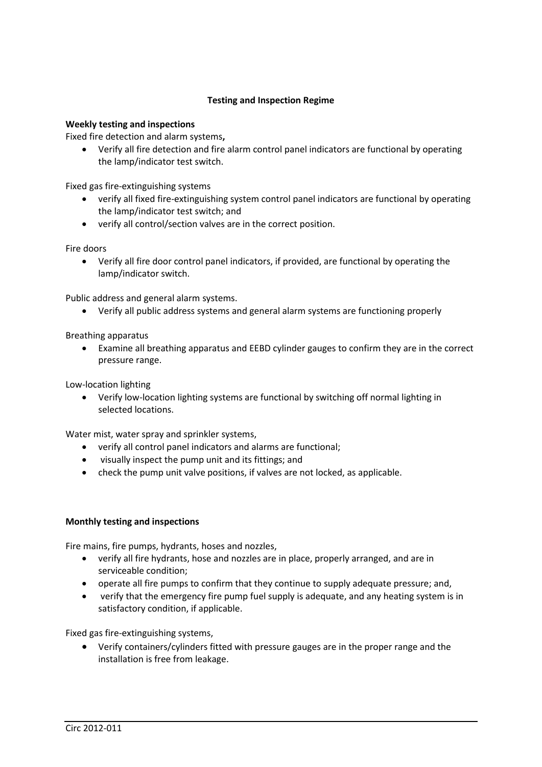# **Testing and Inspection Regime**

# **Weekly testing and inspections**

Fixed fire detection and alarm systems**,**

 Verify all fire detection and fire alarm control panel indicators are functional by operating the lamp/indicator test switch.

Fixed gas fire-extinguishing systems

- verify all fixed fire-extinguishing system control panel indicators are functional by operating the lamp/indicator test switch; and
- verify all control/section valves are in the correct position.

Fire doors

 Verify all fire door control panel indicators, if provided, are functional by operating the lamp/indicator switch.

Public address and general alarm systems.

Verify all public address systems and general alarm systems are functioning properly

Breathing apparatus

 Examine all breathing apparatus and EEBD cylinder gauges to confirm they are in the correct pressure range.

Low-location lighting

 Verify low-location lighting systems are functional by switching off normal lighting in selected locations.

Water mist, water spray and sprinkler systems,

- verify all control panel indicators and alarms are functional;
- visually inspect the pump unit and its fittings; and
- check the pump unit valve positions, if valves are not locked, as applicable.

#### **Monthly testing and inspections**

Fire mains, fire pumps, hydrants, hoses and nozzles,

- verify all fire hydrants, hose and nozzles are in place, properly arranged, and are in serviceable condition;
- operate all fire pumps to confirm that they continue to supply adequate pressure; and,
- verify that the emergency fire pump fuel supply is adequate, and any heating system is in satisfactory condition, if applicable.

Fixed gas fire-extinguishing systems,

 Verify containers/cylinders fitted with pressure gauges are in the proper range and the installation is free from leakage.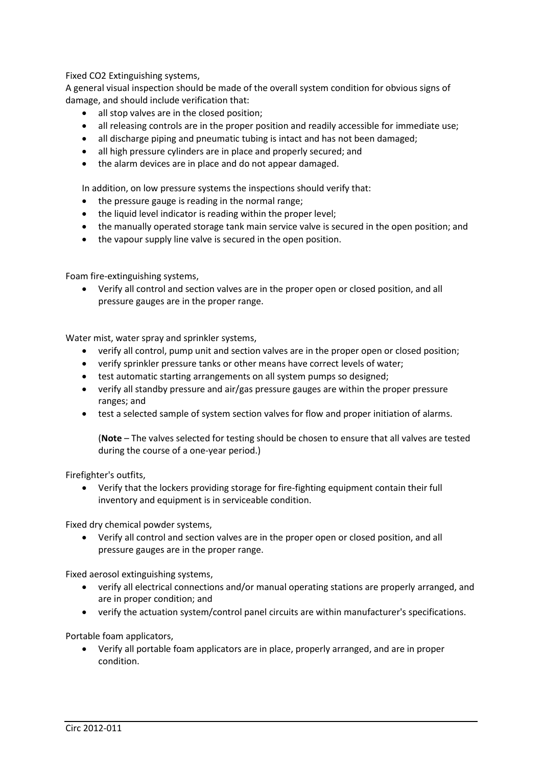Fixed CO2 Extinguishing systems,

A general visual inspection should be made of the overall system condition for obvious signs of damage, and should include verification that:

- all stop valves are in the closed position;
- all releasing controls are in the proper position and readily accessible for immediate use;
- all discharge piping and pneumatic tubing is intact and has not been damaged;
- all high pressure cylinders are in place and properly secured; and
- the alarm devices are in place and do not appear damaged.

In addition, on low pressure systems the inspections should verify that:

- the pressure gauge is reading in the normal range;
- the liquid level indicator is reading within the proper level;
- the manually operated storage tank main service valve is secured in the open position; and
- the vapour supply line valve is secured in the open position.

Foam fire-extinguishing systems,

 Verify all control and section valves are in the proper open or closed position, and all pressure gauges are in the proper range.

Water mist, water spray and sprinkler systems,

- verify all control, pump unit and section valves are in the proper open or closed position;
- verify sprinkler pressure tanks or other means have correct levels of water;
- test automatic starting arrangements on all system pumps so designed;
- verify all standby pressure and air/gas pressure gauges are within the proper pressure ranges; and
- test a selected sample of system section valves for flow and proper initiation of alarms.

(**Note** – The valves selected for testing should be chosen to ensure that all valves are tested during the course of a one-year period.)

Firefighter's outfits,

 Verify that the lockers providing storage for fire-fighting equipment contain their full inventory and equipment is in serviceable condition.

Fixed dry chemical powder systems,

 Verify all control and section valves are in the proper open or closed position, and all pressure gauges are in the proper range.

Fixed aerosol extinguishing systems,

- verify all electrical connections and/or manual operating stations are properly arranged, and are in proper condition; and
- verify the actuation system/control panel circuits are within manufacturer's specifications.

Portable foam applicators,

 Verify all portable foam applicators are in place, properly arranged, and are in proper condition.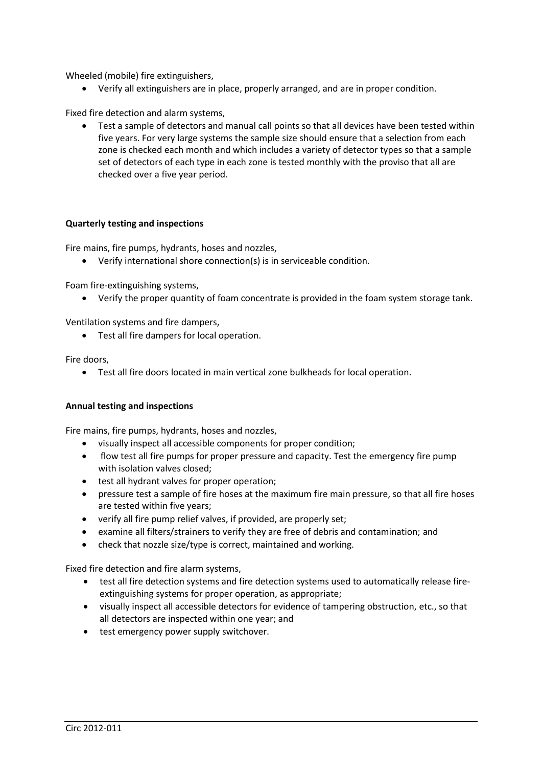Wheeled (mobile) fire extinguishers,

Verify all extinguishers are in place, properly arranged, and are in proper condition.

Fixed fire detection and alarm systems,

 Test a sample of detectors and manual call points so that all devices have been tested within five years. For very large systems the sample size should ensure that a selection from each zone is checked each month and which includes a variety of detector types so that a sample set of detectors of each type in each zone is tested monthly with the proviso that all are checked over a five year period.

#### **Quarterly testing and inspections**

Fire mains, fire pumps, hydrants, hoses and nozzles,

Verify international shore connection(s) is in serviceable condition.

Foam fire-extinguishing systems,

Verify the proper quantity of foam concentrate is provided in the foam system storage tank.

Ventilation systems and fire dampers,

Test all fire dampers for local operation.

Fire doors,

Test all fire doors located in main vertical zone bulkheads for local operation.

#### **Annual testing and inspections**

Fire mains, fire pumps, hydrants, hoses and nozzles,

- visually inspect all accessible components for proper condition;
- flow test all fire pumps for proper pressure and capacity. Test the emergency fire pump with isolation valves closed;
- **•** test all hydrant valves for proper operation;
- pressure test a sample of fire hoses at the maximum fire main pressure, so that all fire hoses are tested within five years;
- verify all fire pump relief valves, if provided, are properly set;
- examine all filters/strainers to verify they are free of debris and contamination; and
- check that nozzle size/type is correct, maintained and working.

Fixed fire detection and fire alarm systems,

- test all fire detection systems and fire detection systems used to automatically release fireextinguishing systems for proper operation, as appropriate;
- visually inspect all accessible detectors for evidence of tampering obstruction, etc., so that all detectors are inspected within one year; and
- test emergency power supply switchover.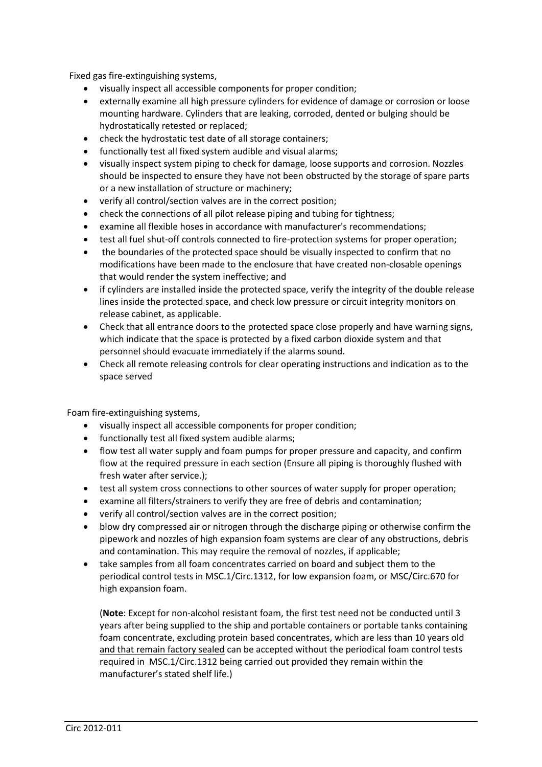Fixed gas fire-extinguishing systems,

- visually inspect all accessible components for proper condition;
- externally examine all high pressure cylinders for evidence of damage or corrosion or loose mounting hardware. Cylinders that are leaking, corroded, dented or bulging should be hydrostatically retested or replaced;
- check the hydrostatic test date of all storage containers;
- functionally test all fixed system audible and visual alarms;
- visually inspect system piping to check for damage, loose supports and corrosion. Nozzles should be inspected to ensure they have not been obstructed by the storage of spare parts or a new installation of structure or machinery;
- verify all control/section valves are in the correct position;
- check the connections of all pilot release piping and tubing for tightness;
- examine all flexible hoses in accordance with manufacturer's recommendations;
- test all fuel shut-off controls connected to fire-protection systems for proper operation;
- the boundaries of the protected space should be visually inspected to confirm that no modifications have been made to the enclosure that have created non-closable openings that would render the system ineffective; and
- if cylinders are installed inside the protected space, verify the integrity of the double release lines inside the protected space, and check low pressure or circuit integrity monitors on release cabinet, as applicable.
- Check that all entrance doors to the protected space close properly and have warning signs, which indicate that the space is protected by a fixed carbon dioxide system and that personnel should evacuate immediately if the alarms sound.
- Check all remote releasing controls for clear operating instructions and indication as to the space served

Foam fire-extinguishing systems,

- visually inspect all accessible components for proper condition;
- functionally test all fixed system audible alarms;
- flow test all water supply and foam pumps for proper pressure and capacity, and confirm flow at the required pressure in each section (Ensure all piping is thoroughly flushed with fresh water after service.);
- test all system cross connections to other sources of water supply for proper operation;
- examine all filters/strainers to verify they are free of debris and contamination;
- verify all control/section valves are in the correct position;
- blow dry compressed air or nitrogen through the discharge piping or otherwise confirm the pipework and nozzles of high expansion foam systems are clear of any obstructions, debris and contamination. This may require the removal of nozzles, if applicable;
- take samples from all foam concentrates carried on board and subject them to the periodical control tests in MSC.1/Circ.1312, for low expansion foam, or MSC/Circ.670 for high expansion foam.

(**Note**: Except for non-alcohol resistant foam, the first test need not be conducted until 3 years after being supplied to the ship and portable containers or portable tanks containing foam concentrate, excluding protein based concentrates, which are less than 10 years old and that remain factory sealed can be accepted without the periodical foam control tests required in MSC.1/Circ.1312 being carried out provided they remain within the manufacturer's stated shelf life.)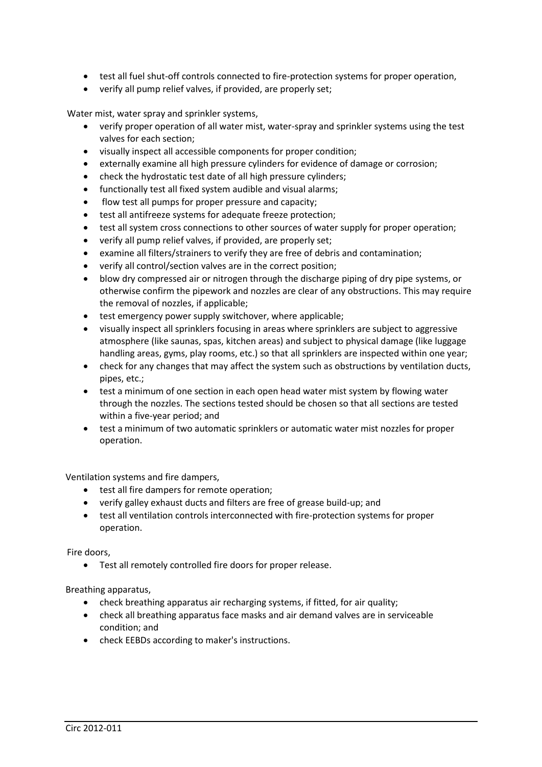- test all fuel shut-off controls connected to fire-protection systems for proper operation,
- verify all pump relief valves, if provided, are properly set;

Water mist, water spray and sprinkler systems,

- verify proper operation of all water mist, water-spray and sprinkler systems using the test valves for each section;
- visually inspect all accessible components for proper condition;
- externally examine all high pressure cylinders for evidence of damage or corrosion;
- check the hydrostatic test date of all high pressure cylinders;
- functionally test all fixed system audible and visual alarms;
- flow test all pumps for proper pressure and capacity;
- test all antifreeze systems for adequate freeze protection;
- test all system cross connections to other sources of water supply for proper operation;
- verify all pump relief valves, if provided, are properly set;
- examine all filters/strainers to verify they are free of debris and contamination;
- verify all control/section valves are in the correct position;
- blow dry compressed air or nitrogen through the discharge piping of dry pipe systems, or otherwise confirm the pipework and nozzles are clear of any obstructions. This may require the removal of nozzles, if applicable;
- test emergency power supply switchover, where applicable;
- visually inspect all sprinklers focusing in areas where sprinklers are subject to aggressive atmosphere (like saunas, spas, kitchen areas) and subject to physical damage (like luggage handling areas, gyms, play rooms, etc.) so that all sprinklers are inspected within one year;
- check for any changes that may affect the system such as obstructions by ventilation ducts, pipes, etc.;
- test a minimum of one section in each open head water mist system by flowing water through the nozzles. The sections tested should be chosen so that all sections are tested within a five-year period; and
- test a minimum of two automatic sprinklers or automatic water mist nozzles for proper operation.

Ventilation systems and fire dampers,

- **•** test all fire dampers for remote operation;
- verify galley exhaust ducts and filters are free of grease build-up; and
- test all ventilation controls interconnected with fire-protection systems for proper operation.

Fire doors,

Test all remotely controlled fire doors for proper release.

Breathing apparatus,

- check breathing apparatus air recharging systems, if fitted, for air quality;
- check all breathing apparatus face masks and air demand valves are in serviceable condition; and
- check EEBDs according to maker's instructions.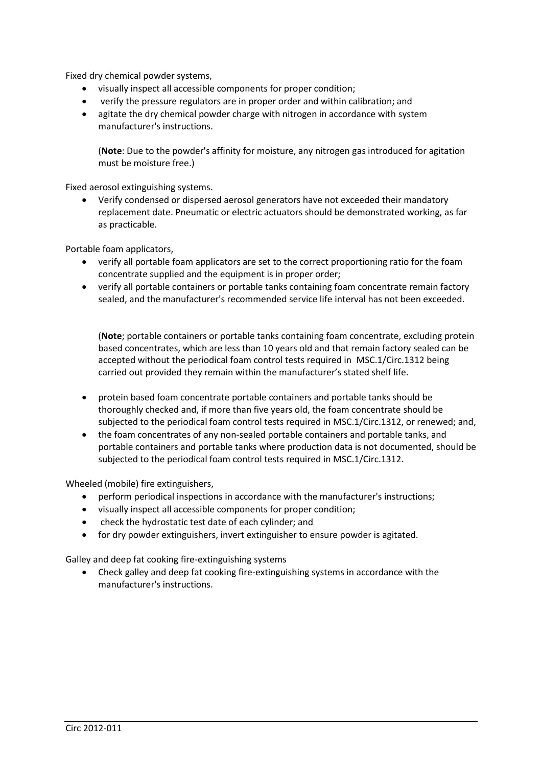Fixed dry chemical powder systems,

- visually inspect all accessible components for proper condition;
- verify the pressure regulators are in proper order and within calibration; and
- agitate the dry chemical powder charge with nitrogen in accordance with system manufacturer's instructions.

(**Note**: Due to the powder's affinity for moisture, any nitrogen gas introduced for agitation must be moisture free.)

Fixed aerosol extinguishing systems.

 Verify condensed or dispersed aerosol generators have not exceeded their mandatory replacement date. Pneumatic or electric actuators should be demonstrated working, as far as practicable.

Portable foam applicators,

- verify all portable foam applicators are set to the correct proportioning ratio for the foam concentrate supplied and the equipment is in proper order;
- verify all portable containers or portable tanks containing foam concentrate remain factory sealed, and the manufacturer's recommended service life interval has not been exceeded.

(**Note**; portable containers or portable tanks containing foam concentrate, excluding protein based concentrates, which are less than 10 years old and that remain factory sealed can be accepted without the periodical foam control tests required in MSC.1/Circ.1312 being carried out provided they remain within the manufacturer's stated shelf life.

- protein based foam concentrate portable containers and portable tanks should be thoroughly checked and, if more than five years old, the foam concentrate should be subjected to the periodical foam control tests required in MSC.1/Circ.1312, or renewed; and,
- the foam concentrates of any non-sealed portable containers and portable tanks, and portable containers and portable tanks where production data is not documented, should be subjected to the periodical foam control tests required in MSC.1/Circ.1312.

Wheeled (mobile) fire extinguishers,

- perform periodical inspections in accordance with the manufacturer's instructions;
- visually inspect all accessible components for proper condition;
- check the hydrostatic test date of each cylinder; and
- for dry powder extinguishers, invert extinguisher to ensure powder is agitated.

Galley and deep fat cooking fire-extinguishing systems

 Check galley and deep fat cooking fire-extinguishing systems in accordance with the manufacturer's instructions.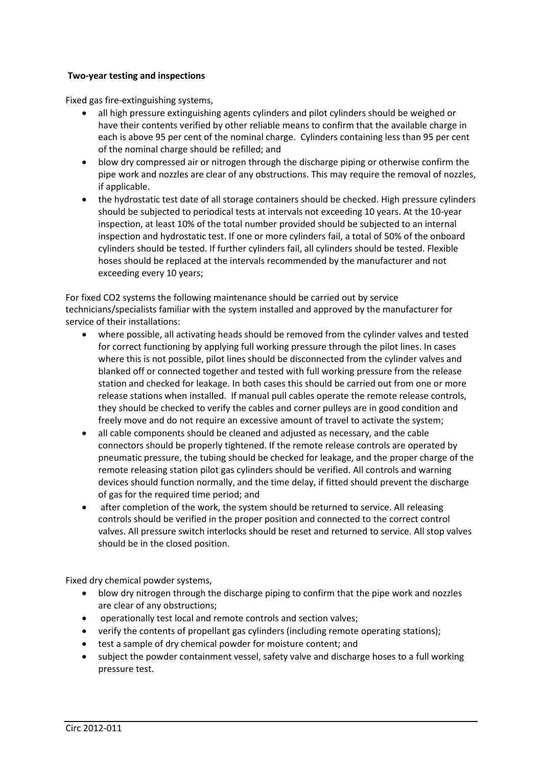# **Two-year testing and inspections**

Fixed gas fire-extinguishing systems,

- all high pressure extinguishing agents cylinders and pilot cylinders should be weighed or have their contents verified by other reliable means to confirm that the available charge in each is above 95 per cent of the nominal charge. Cylinders containing less than 95 per cent of the nominal charge should be refilled; and
- blow dry compressed air or nitrogen through the discharge piping or otherwise confirm the pipe work and nozzles are clear of any obstructions. This may require the removal of nozzles, if applicable.
- the hydrostatic test date of all storage containers should be checked. High pressure cylinders should be subjected to periodical tests at intervals not exceeding 10 years. At the 10-year inspection, at least 10% of the total number provided should be subjected to an internal inspection and hydrostatic test. If one or more cylinders fail, a total of 50% of the onboard cylinders should be tested. If further cylinders fail, all cylinders should be tested. Flexible hoses should be replaced at the intervals recommended by the manufacturer and not exceeding every 10 years;

For fixed CO2 systems the following maintenance should be carried out by service technicians/specialists familiar with the system installed and approved by the manufacturer for service of their installations:

- where possible, all activating heads should be removed from the cylinder valves and tested for correct functioning by applying full working pressure through the pilot lines. In cases where this is not possible, pilot lines should be disconnected from the cylinder valves and blanked off or connected together and tested with full working pressure from the release station and checked for leakage. In both cases this should be carried out from one or more release stations when installed. If manual pull cables operate the remote release controls, they should be checked to verify the cables and corner pulleys are in good condition and freely move and do not require an excessive amount of travel to activate the system;
- all cable components should be cleaned and adjusted as necessary, and the cable connectors should be properly tightened. If the remote release controls are operated by pneumatic pressure, the tubing should be checked for leakage, and the proper charge of the remote releasing station pilot gas cylinders should be verified. All controls and warning devices should function normally, and the time delay, if fitted should prevent the discharge of gas for the required time period; and
- after completion of the work, the system should be returned to service. All releasing controls should be verified in the proper position and connected to the correct control valves. All pressure switch interlocks should be reset and returned to service. All stop valves should be in the closed position.

Fixed dry chemical powder systems,

- blow dry nitrogen through the discharge piping to confirm that the pipe work and nozzles are clear of any obstructions;
- operationally test local and remote controls and section valves;
- verify the contents of propellant gas cylinders (including remote operating stations);
- test a sample of dry chemical powder for moisture content; and
- subject the powder containment vessel, safety valve and discharge hoses to a full working pressure test.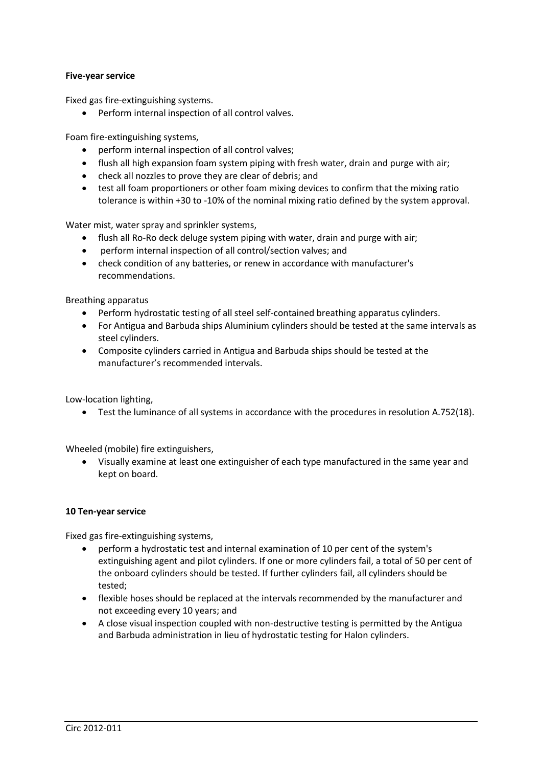# **Five-year service**

Fixed gas fire-extinguishing systems.

Perform internal inspection of all control valves.

Foam fire-extinguishing systems,

- perform internal inspection of all control valves;
- flush all high expansion foam system piping with fresh water, drain and purge with air;
- check all nozzles to prove they are clear of debris; and
- test all foam proportioners or other foam mixing devices to confirm that the mixing ratio tolerance is within +30 to -10% of the nominal mixing ratio defined by the system approval.

Water mist, water spray and sprinkler systems,

- flush all Ro-Ro deck deluge system piping with water, drain and purge with air;
- perform internal inspection of all control/section valves; and
- check condition of any batteries, or renew in accordance with manufacturer's recommendations.

Breathing apparatus

- Perform hydrostatic testing of all steel self-contained breathing apparatus cylinders.
- For Antigua and Barbuda ships Aluminium cylinders should be tested at the same intervals as steel cylinders.
- Composite cylinders carried in Antigua and Barbuda ships should be tested at the manufacturer's recommended intervals.

Low-location lighting,

Test the luminance of all systems in accordance with the procedures in resolution A.752(18).

Wheeled (mobile) fire extinguishers,

 Visually examine at least one extinguisher of each type manufactured in the same year and kept on board.

#### **10 Ten-year service**

Fixed gas fire-extinguishing systems,

- perform a hydrostatic test and internal examination of 10 per cent of the system's extinguishing agent and pilot cylinders. If one or more cylinders fail, a total of 50 per cent of the onboard cylinders should be tested. If further cylinders fail, all cylinders should be tested;
- flexible hoses should be replaced at the intervals recommended by the manufacturer and not exceeding every 10 years; and
- A close visual inspection coupled with non-destructive testing is permitted by the Antigua and Barbuda administration in lieu of hydrostatic testing for Halon cylinders.